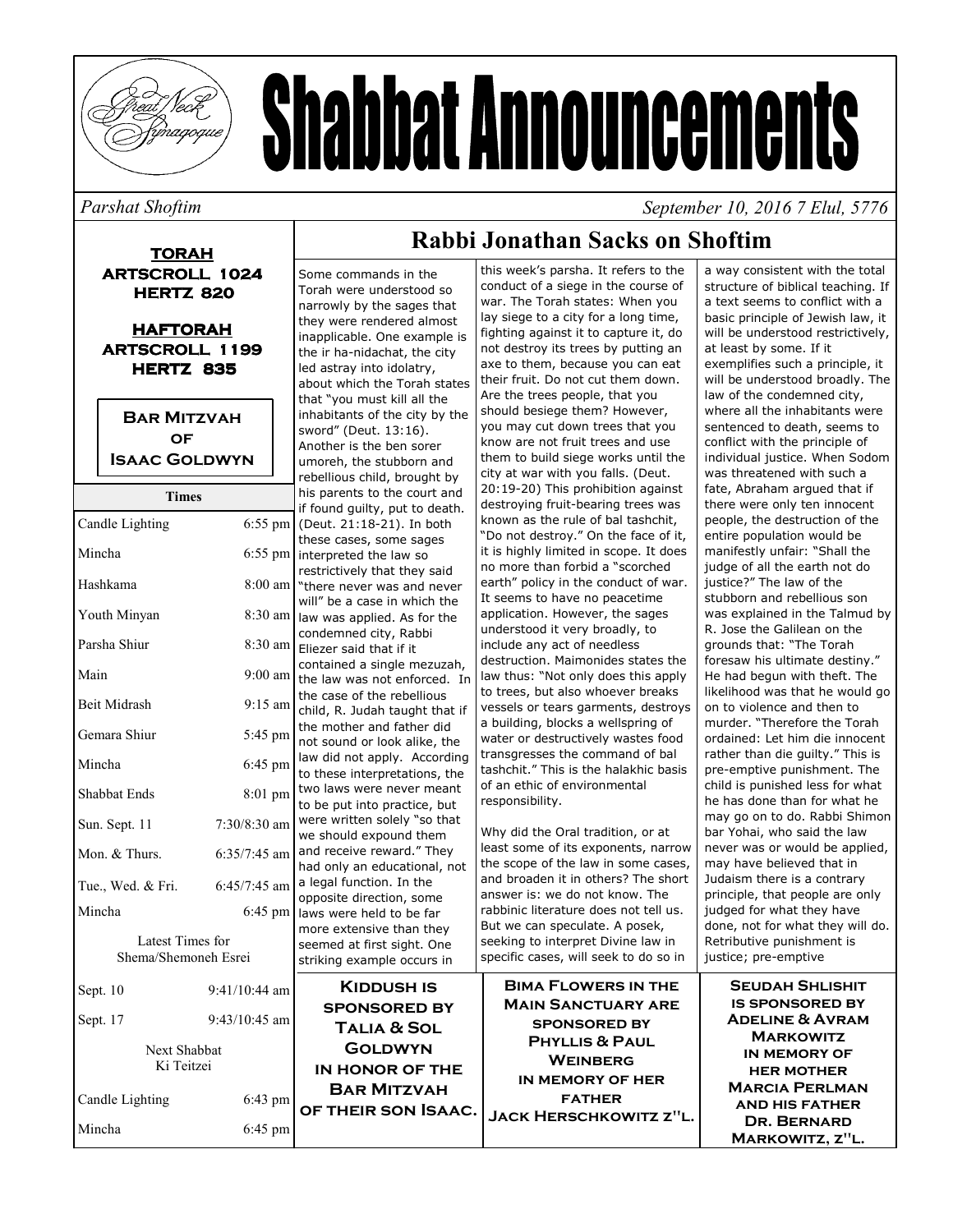

# **Shabbat Announcements**

#### Parshat Shoftim

**TORAH ARTSCROLL 1024 HERTZ 820** 

**HAFTORAH ARTSCROLL 1199 HERTZ 835** 

**BAR MITZVAH OF ISAAC GOLDWYN** 

| 1 imes                                   |                 | ns parcites to the court.                                     |
|------------------------------------------|-----------------|---------------------------------------------------------------|
| Candle Lighting                          | $6:55$ pm       | if found guilty, put to death.<br>(Deut. 21:18-21). In both   |
|                                          |                 | these cases, some sages                                       |
| Mincha                                   | $6:55$ pm       | interpreted the law so                                        |
|                                          |                 | restrictively that they said                                  |
| Hashkama                                 | 8:00 am         | "there never was and never                                    |
|                                          |                 | will" be a case in which the                                  |
| Youth Minyan                             | 8:30 am         | law was applied. As for the                                   |
|                                          |                 | condemned city, Rabbi                                         |
| Parsha Shiur                             | $8:30$ am       | Eliezer said that if it                                       |
| Main                                     | $9:00$ am       | contained a single mezuzah,                                   |
|                                          |                 | the law was not enforced. In                                  |
| <b>Beit Midrash</b>                      | $9:15$ am       | the case of the rebellious                                    |
|                                          |                 | child, R. Judah taught that if                                |
| Gemara Shiur                             | 5:45 pm         | the mother and father did                                     |
|                                          |                 | not sound or look alike, the                                  |
| Mincha                                   | 6:45 pm         | law did not apply. According<br>to these interpretations, the |
|                                          |                 | two laws were never meant                                     |
| <b>Shabbat Ends</b>                      | 8:01 pm         | to be put into practice, but                                  |
|                                          | $7:30/8:30$ am  | were written solely "so that                                  |
| Sun. Sept. 11                            |                 | we should expound them                                        |
| Mon. & Thurs.                            | $6:35/7:45$ am  | and receive reward." They                                     |
|                                          |                 | had only an educational, not                                  |
| Tue., Wed. & Fri.                        | 6:45/7:45 am    | a legal function. In the                                      |
|                                          |                 | opposite direction, some                                      |
| Mincha                                   | 6:45 pm         | laws were held to be far                                      |
|                                          |                 | more extensive than they                                      |
| Latest Times for<br>Shema/Shemoneh Esrei |                 | seemed at first sight. One                                    |
|                                          |                 | striking example occurs in                                    |
| Sept. 10                                 | $9:41/10:44$ am | <b>KIDDUSH IS</b>                                             |
|                                          |                 | <b>SPONSORED BY</b>                                           |
| Sept. 17                                 | $9:43/10:45$ am |                                                               |
|                                          |                 | <b>TALIA &amp; SOL</b>                                        |
| Next Shabbat                             |                 | <b>GOLDWYN</b>                                                |
| Ki Teitzei                               |                 | IN HONOR OF THE                                               |
| Candle Lighting                          | $6:43$ pm       | <b>BAR MITZVAH</b>                                            |
|                                          |                 | OF THEIR SON ISAAC.                                           |
| Mincha                                   | 6:45 pm         |                                                               |
|                                          |                 |                                                               |

## Rahhi Jonathan Sacks on Shoftim

Some commands in the Torah were understood so narrowly by the sages that they were rendered almost inapplicable. One example is the ir ha-nidachat, the city led astray into idolatry, about which the Torah states that "you must kill all the inhabitants of the city by the sword" (Deut. 13:16). Another is the ben sorer umoreh, the stubborn and rebellious child, brought by his parents to the court and found quilty, put to death. Deut. 21:18-21). In both nese cases, some sages terpreted the law so estrictively that they said here never was and never ill" he a case in which the w was applied. As for the ondemned city, Rabbi liezer said that if it ontained a single mezuzah, ne law was not enforced. In e case of the rebellious hild, R. Judah taught that if e mother and father did ot sound or look alike, the w did not apply. According o these interpretations, the vo laws were never meant b be put into practice, but ere written solely "so that e should expound them nd receive reward." They ad only an educational, not legal function. In the pposite direction, some ws were held to be far ore extensive than they eemed at first sight. One triking example occurs in **KIDDUSH IS** 

this week's parsha. It refers to the conduct of a siege in the course of war. The Torah states: When you lay siege to a city for a long time, fighting against it to capture it, do not destroy its trees by putting an axe to them, because you can eat their fruit. Do not cut them down. Are the trees people, that you should besiege them? However, you may cut down trees that you know are not fruit trees and use them to build siege works until the city at war with you falls. (Deut. 20:19-20) This prohibition against destroying fruit-bearing trees was known as the rule of bal tashchit, "Do not destroy." On the face of it, it is highly limited in scope. It does no more than forbid a "scorched earth" policy in the conduct of war. It seems to have no peacetime application. However, the sages understood it very broadly, to include any act of needless destruction. Maimonides states the law thus: "Not only does this apply to trees, but also whoever breaks vessels or tears garments, destroys a building, blocks a wellspring of water or destructively wastes food transgresses the command of bal tashchit." This is the halakhic basis of an ethic of environmental responsibility.

Why did the Oral tradition, or at least some of its exponents, narrow the scope of the law in some cases, and broaden it in others? The short answer is: we do not know. The rabbinic literature does not tell us. But we can speculate. A posek, seeking to interpret Divine law in specific cases, will seek to do so in

**BIMA FLOWERS IN THE MAIN SANCTUARY ARE SPONSORED BY PHYLLIS & PAUL WEINBERG** IN MEMORY OF HER **FATHER** JACK HERSCHKOWITZ Z"L.

a way consistent with the total structure of biblical teaching. If a text seems to conflict with a basic principle of Jewish law, it will be understood restrictively, at least by some. If it exemplifies such a principle, it will be understood broadly. The law of the condemned city, where all the inhabitants were sentenced to death, seems to conflict with the principle of individual justice. When Sodom was threatened with such a fate, Abraham argued that if there were only ten innocent people, the destruction of the entire population would be manifestly unfair: "Shall the judge of all the earth not do justice?" The law of the stubborn and rebellious son was explained in the Talmud by R. Jose the Galilean on the grounds that: "The Torah foresaw his ultimate destiny." He had begun with theft. The likelihood was that he would go on to violence and then to murder. "Therefore the Torah ordained: Let him die innocent rather than die guilty." This is pre-emptive punishment. The child is punished less for what he has done than for what he may go on to do. Rabbi Shimon bar Yohai, who said the law never was or would be applied, may have believed that in Judaism there is a contrary principle, that people are only judged for what they have done, not for what they will do. Retributive punishment is justice; pre-emptive **SEUDAH SHLISHIT** 

September 10, 2016 7 Elul, 5776

**IS SPONSORED BY ADELINE & AVRAM MARKOWITZ IN MEMORY OF HER MOTHER MARCIA PERLMAN AND HIS FATHER** DR. BERNARD MARKOWITZ, Z"L.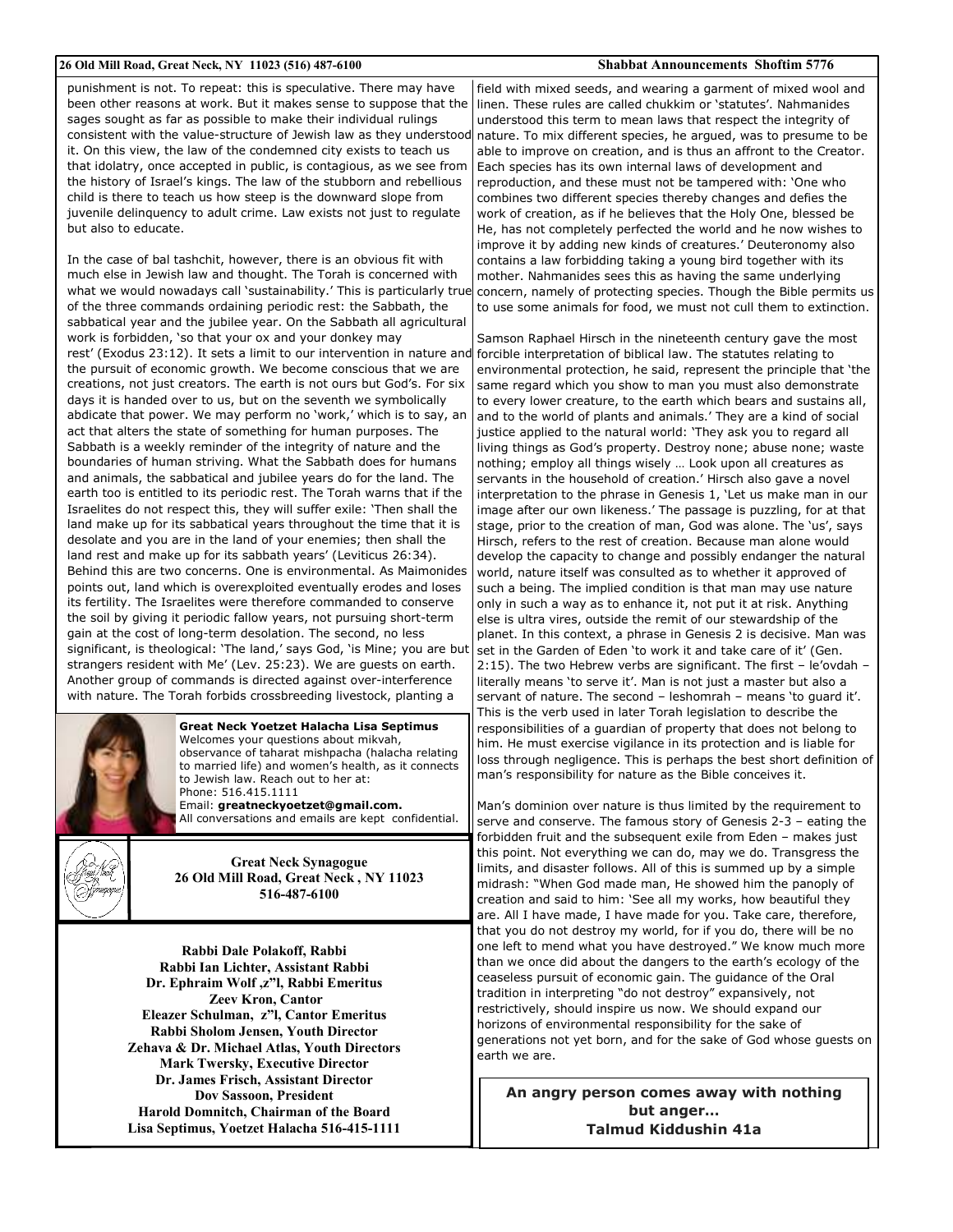#### 26 Old Mill Road, Great Neck, NY 11023 (516) 487-6100

punishment is not. To repeat: this is speculative. There may have been other reasons at work. But it makes sense to suppose that the sages sought as far as possible to make their individual rulings consistent with the value-structure of Jewish law as they understood it. On this view, the law of the condemned city exists to teach us that idolatry, once accepted in public, is contagious, as we see from the history of Israel's kings. The law of the stubborn and rebellious child is there to teach us how steep is the downward slope from juvenile delinquency to adult crime. Law exists not just to regulate but also to educate

In the case of bal tashchit, however, there is an obvious fit with much else in Jewish law and thought. The Torah is concerned with what we would nowadays call 'sustainability.' This is particularly true of the three commands ordaining periodic rest: the Sabbath, the sabbatical year and the jubilee year. On the Sabbath all agricultural work is forbidden, 'so that your ox and your donkey may rest' (Exodus 23:12). It sets a limit to our intervention in nature and the pursuit of economic growth. We become conscious that we are creations, not just creators. The earth is not ours but God's. For six days it is handed over to us, but on the seventh we symbolically abdicate that power. We may perform no 'work,' which is to say, an act that alters the state of something for human purposes. The Sabbath is a weekly reminder of the integrity of nature and the boundaries of human striving. What the Sabbath does for humans and animals, the sabbatical and jubilee years do for the land. The earth too is entitled to its periodic rest. The Torah warns that if the Israelites do not respect this, they will suffer exile: 'Then shall the land make up for its sabbatical years throughout the time that it is desolate and you are in the land of your enemies; then shall the land rest and make up for its sabbath years' (Leviticus 26:34). Behind this are two concerns. One is environmental. As Maimonides points out, land which is overexploited eventually erodes and loses its fertility. The Israelites were therefore commanded to conserve the soil by giving it periodic fallow years, not pursuing short-term gain at the cost of long-term desolation. The second, no less significant, is theological: 'The land,' says God, 'is Mine; you are but strangers resident with Me' (Lev. 25:23). We are guests on earth. Another group of commands is directed against over-interference with nature. The Torah forbids crossbreeding livestock, planting a



Great Neck Yoetzet Halacha Lisa Septimus Welcomes your questions about mikvah, observance of taharat mishpacha (halacha relating to married life) and women's health, as it connects to Jewish law. Reach out to her at: Phone: 516.415.1111 Email: greatneckyoetzet@gmail.com.

All conversations and emails are kept confidential.



**Great Neck Synagogue** 26 Old Mill Road, Great Neck, NY 11023 516-487-6100

Rabbi Dale Polakoff, Rabbi Rabbi Ian Lichter, Assistant Rabbi Dr. Ephraim Wolf, z"l, Rabbi Emeritus **Zeev Kron, Cantor** Eleazer Schulman, z"l. Cantor Emeritus Rabbi Sholom Jensen, Youth Director Zehava & Dr. Michael Atlas, Youth Directors **Mark Twersky, Executive Director** Dr. James Frisch, Assistant Director **Dov Sassoon, President** Harold Domnitch, Chairman of the Board Lisa Septimus, Yoetzet Halacha 516-415-1111

#### **Shabbat Announcements Shoftim 5776**

field with mixed seeds, and wearing a garment of mixed wool and linen. These rules are called chukkim or 'statutes'. Nahmanides understood this term to mean laws that respect the integrity of nature. To mix different species, he arqued, was to presume to be able to improve on creation, and is thus an affront to the Creator. Each species has its own internal laws of development and reproduction, and these must not be tampered with: 'One who combines two different species thereby changes and defies the work of creation, as if he believes that the Holy One, blessed be He, has not completely perfected the world and he now wishes to improve it by adding new kinds of creatures.' Deuteronomy also contains a law forbidding taking a young bird together with its mother. Nahmanides sees this as having the same underlying concern, namely of protecting species. Though the Bible permits us to use some animals for food, we must not cull them to extinction.

Samson Raphael Hirsch in the nineteenth century gave the most forcible interpretation of biblical law. The statutes relating to environmental protection, he said, represent the principle that 'the same regard which you show to man you must also demonstrate to every lower creature, to the earth which bears and sustains all, and to the world of plants and animals.' They are a kind of social justice applied to the natural world: 'They ask you to regard all living things as God's property. Destroy none; abuse none; waste nothing; employ all things wisely ... Look upon all creatures as servants in the household of creation.' Hirsch also gave a novel interpretation to the phrase in Genesis 1, 'Let us make man in our image after our own likeness.' The passage is puzzling, for at that stage, prior to the creation of man, God was alone. The 'us', says Hirsch, refers to the rest of creation. Because man alone would develop the capacity to change and possibly endanger the natural world, nature itself was consulted as to whether it approved of such a being. The implied condition is that man may use nature only in such a way as to enhance it, not put it at risk. Anything else is ultra vires, outside the remit of our stewardship of the planet. In this context, a phrase in Genesis 2 is decisive. Man was set in the Garden of Eden 'to work it and take care of it' (Gen. 2:15). The two Hebrew verbs are significant. The first - le'ovdah literally means 'to serve it'. Man is not just a master but also a servant of nature. The second - leshomrah - means 'to quard it'. This is the verb used in later Torah legislation to describe the responsibilities of a guardian of property that does not belong to him. He must exercise vigilance in its protection and is liable for loss through negligence. This is perhaps the best short definition of man's responsibility for nature as the Bible conceives it.

Man's dominion over nature is thus limited by the requirement to serve and conserve. The famous story of Genesis 2-3 - eating the forbidden fruit and the subsequent exile from Eden - makes just this point. Not everything we can do, may we do. Transgress the limits, and disaster follows. All of this is summed up by a simple midrash: "When God made man, He showed him the panoply of creation and said to him: 'See all my works, how beautiful they are. All I have made, I have made for you. Take care, therefore, that you do not destroy my world, for if you do, there will be no one left to mend what you have destroyed." We know much more than we once did about the dangers to the earth's ecology of the ceaseless pursuit of economic gain. The guidance of the Oral tradition in interpreting "do not destroy" expansively, not restrictively, should inspire us now. We should expand our horizons of environmental responsibility for the sake of generations not yet born, and for the sake of God whose quests on earth we are.

An angry person comes away with nothing but anger... **Talmud Kiddushin 41a**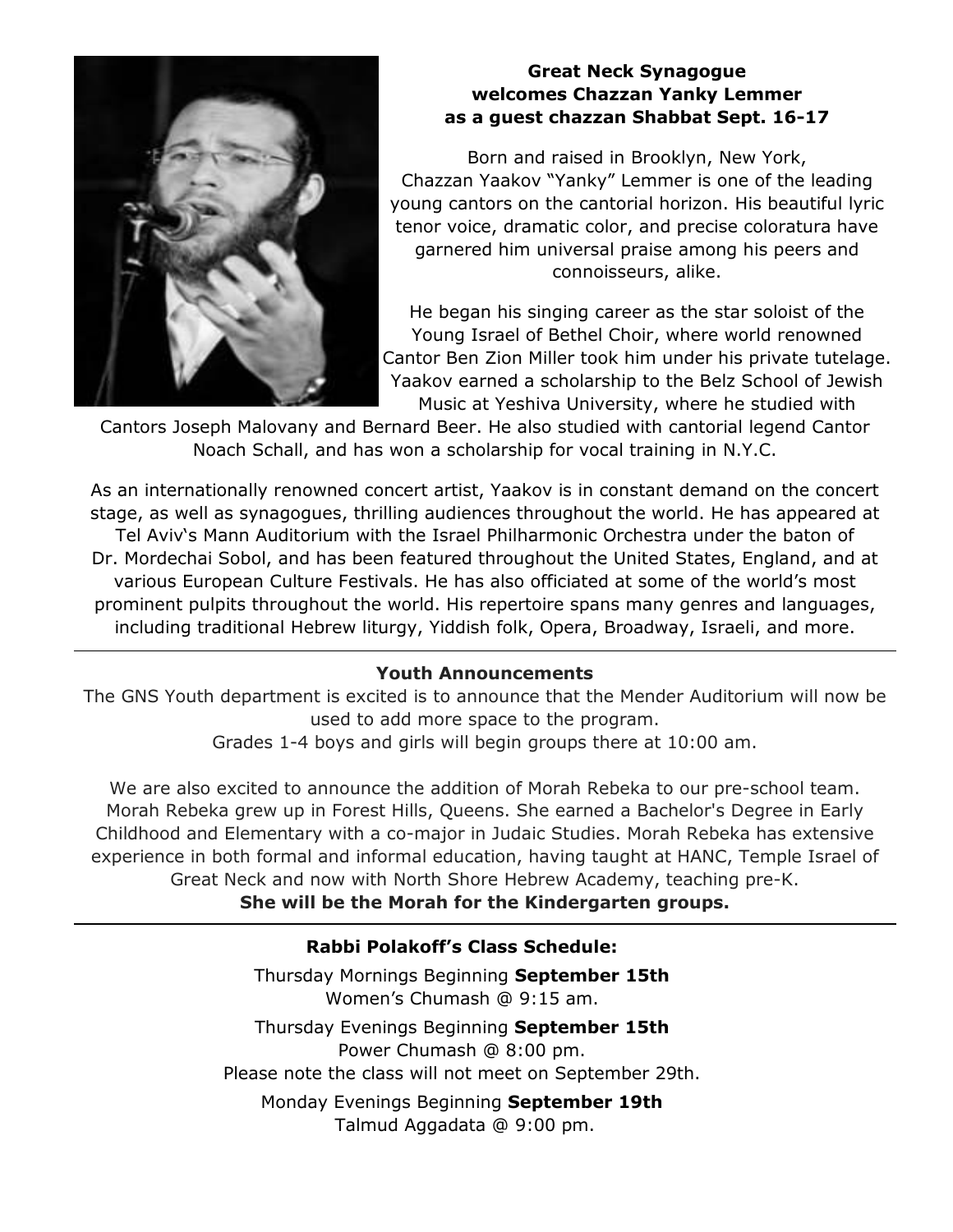

#### **Great Neck Synagogue** welcomes Chazzan Yanky Lemmer as a guest chazzan Shabbat Sept. 16-17

Born and raised in Brooklyn, New York, Chazzan Yaakov "Yanky" Lemmer is one of the leading young cantors on the cantorial horizon. His beautiful lyric tenor voice, dramatic color, and precise coloratura have garnered him universal praise among his peers and connoisseurs, alike.

He began his singing career as the star soloist of the Young Israel of Bethel Choir, where world renowned Cantor Ben Zion Miller took him under his private tutelage. Yaakov earned a scholarship to the Belz School of Jewish Music at Yeshiva University, where he studied with

Cantors Joseph Malovany and Bernard Beer. He also studied with cantorial legend Cantor Noach Schall, and has won a scholarship for vocal training in N.Y.C.

As an internationally renowned concert artist, Yaakov is in constant demand on the concert stage, as well as synagogues, thrilling audiences throughout the world. He has appeared at Tel Aviv's Mann Auditorium with the Israel Philharmonic Orchestra under the baton of Dr. Mordechai Sobol, and has been featured throughout the United States, England, and at various European Culture Festivals. He has also officiated at some of the world's most prominent pulpits throughout the world. His repertoire spans many genres and languages, including traditional Hebrew liturgy, Yiddish folk, Opera, Broadway, Israeli, and more.

#### **Youth Announcements**

The GNS Youth department is excited is to announce that the Mender Auditorium will now be used to add more space to the program.

Grades 1-4 boys and girls will begin groups there at 10:00 am.

We are also excited to announce the addition of Morah Rebeka to our pre-school team. Morah Rebeka grew up in Forest Hills, Queens. She earned a Bachelor's Degree in Early Childhood and Elementary with a co-major in Judaic Studies. Morah Rebeka has extensive experience in both formal and informal education, having taught at HANC, Temple Israel of Great Neck and now with North Shore Hebrew Academy, teaching pre-K. She will be the Morah for the Kindergarten groups.

#### Rabbi Polakoff's Class Schedule:

Thursday Mornings Beginning September 15th Women's Chumash @ 9:15 am.

Thursday Evenings Beginning September 15th Power Chumash @ 8:00 pm. Please note the class will not meet on September 29th.

Monday Evenings Beginning September 19th Talmud Aggadata @ 9:00 pm.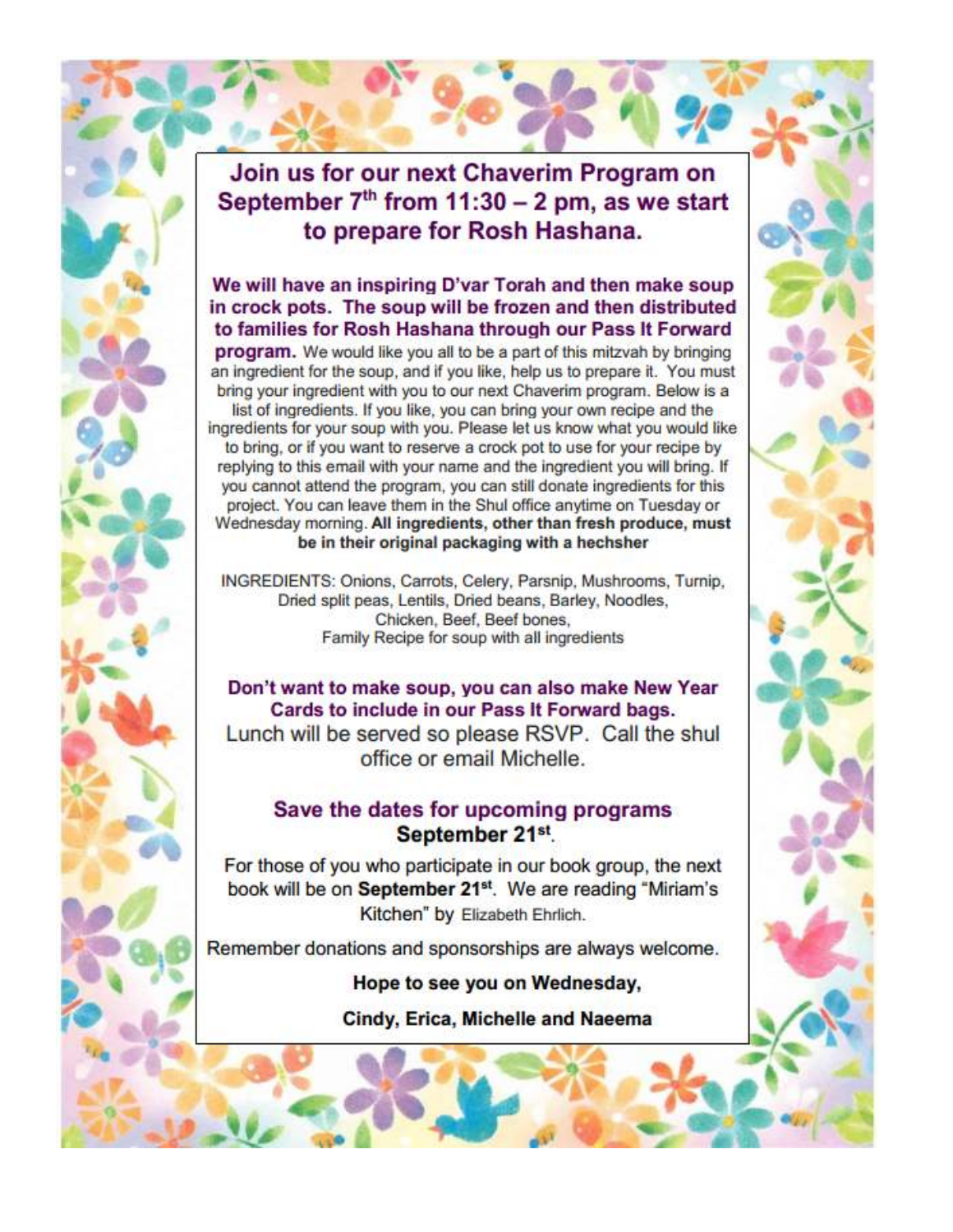### Join us for our next Chaverim Program on September  $7<sup>th</sup>$  from 11:30 - 2 pm, as we start to prepare for Rosh Hashana.

#### We will have an inspiring D'var Torah and then make soup in crock pots. The soup will be frozen and then distributed to families for Rosh Hashana through our Pass It Forward

program. We would like you all to be a part of this mitzvah by bringing an ingredient for the soup, and if you like, help us to prepare it. You must bring your ingredient with you to our next Chaverim program. Below is a

list of ingredients. If you like, you can bring your own recipe and the ingredients for your soup with you. Please let us know what you would like to bring, or if you want to reserve a crock pot to use for your recipe by replying to this email with your name and the ingredient you will bring. If you cannot attend the program, you can still donate ingredients for this project. You can leave them in the Shul office anytime on Tuesday or Wednesday morning. All ingredients, other than fresh produce, must be in their original packaging with a hechsher

INGREDIENTS: Onions, Carrots, Celery, Parsnip, Mushrooms, Turnip, Dried split peas, Lentils, Dried beans, Barley, Noodles, Chicken, Beef, Beef bones. Family Recipe for soup with all ingredients

Don't want to make soup, you can also make New Year Cards to include in our Pass It Forward bags. Lunch will be served so please RSVP. Call the shul office or email Michelle.

#### Save the dates for upcoming programs September 21st

For those of you who participate in our book group, the next book will be on September 21<sup>st</sup>. We are reading "Miriam's Kitchen" by Elizabeth Ehrlich.

Remember donations and sponsorships are always welcome.

Hope to see you on Wednesday,

Cindy, Erica, Michelle and Naeema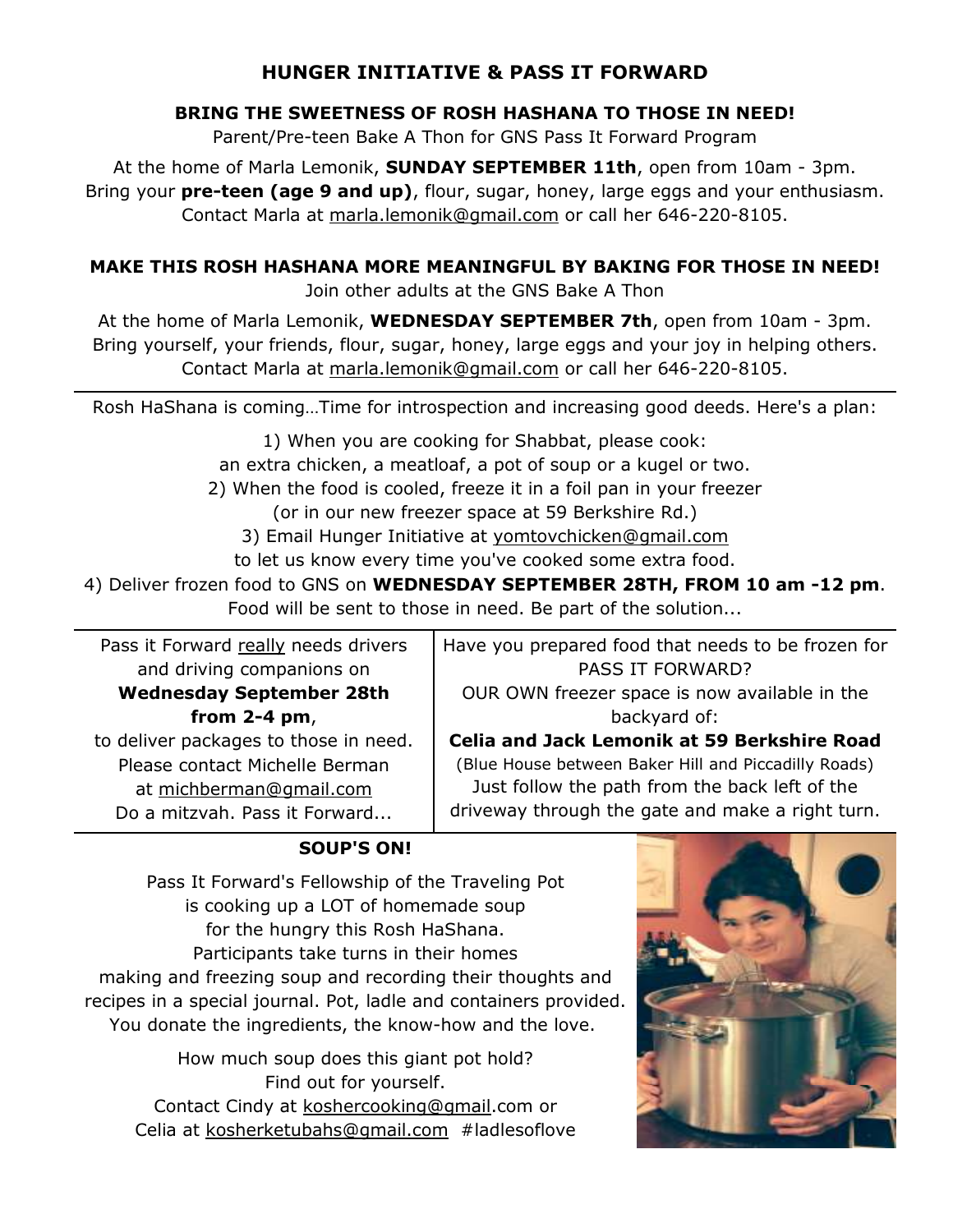#### **HUNGER INITIATIVE & PASS IT FORWARD**

#### BRING THE SWEETNESS OF ROSH HASHANA TO THOSE IN NEED!

Parent/Pre-teen Bake A Thon for GNS Pass It Forward Program

At the home of Marla Lemonik, **SUNDAY SEPTEMBER 11th**, open from 10am - 3pm. Bring your **pre-teen (age 9 and up)**, flour, sugar, honey, large eggs and your enthusiasm. Contact Marla at marla.lemonik@gmail.com or call her 646-220-8105.

#### MAKE THIS ROSH HASHANA MORE MEANINGFUL BY BAKING FOR THOSE IN NEED!

Join other adults at the GNS Bake A Thon

At the home of Marla Lemonik, WEDNESDAY SEPTEMBER 7th, open from 10am - 3pm. Bring yourself, your friends, flour, sugar, honey, large eggs and your joy in helping others. Contact Marla at marla.lemonik@gmail.com or call her 646-220-8105.

Rosh HaShana is coming...Time for introspection and increasing good deeds. Here's a plan:

1) When you are cooking for Shabbat, please cook:

an extra chicken, a meatloaf, a pot of soup or a kugel or two.

2) When the food is cooled, freeze it in a foil pan in your freezer

(or in our new freezer space at 59 Berkshire Rd.)

3) Email Hunger Initiative at yomtovchicken@gmail.com

to let us know every time you've cooked some extra food.

4) Deliver frozen food to GNS on WEDNESDAY SEPTEMBER 28TH, FROM 10 am -12 pm. Food will be sent to those in need. Be part of the solution...

Pass it Forward really needs drivers and driving companions on

#### **Wednesday September 28th** from  $2-4$  pm,

to deliver packages to those in need. Please contact Michelle Berman at michberman@gmail.com Do a mitzvah. Pass it Forward...

Have you prepared food that needs to be frozen for PASS IT FORWARD?

OUR OWN freezer space is now available in the backyard of:

Celia and Jack Lemonik at 59 Berkshire Road (Blue House between Baker Hill and Piccadilly Roads) Just follow the path from the back left of the driveway through the gate and make a right turn.

#### **SOUP'S ON!**

Pass It Forward's Fellowship of the Traveling Pot is cooking up a LOT of homemade soup for the hungry this Rosh HaShana. Participants take turns in their homes making and freezing soup and recording their thoughts and recipes in a special journal. Pot, ladle and containers provided. You donate the ingredients, the know-how and the love.

How much soup does this giant pot hold? Find out for yourself. Contact Cindy at koshercooking@gmail.com or Celia at kosherketubahs@gmail.com #ladlesoflove

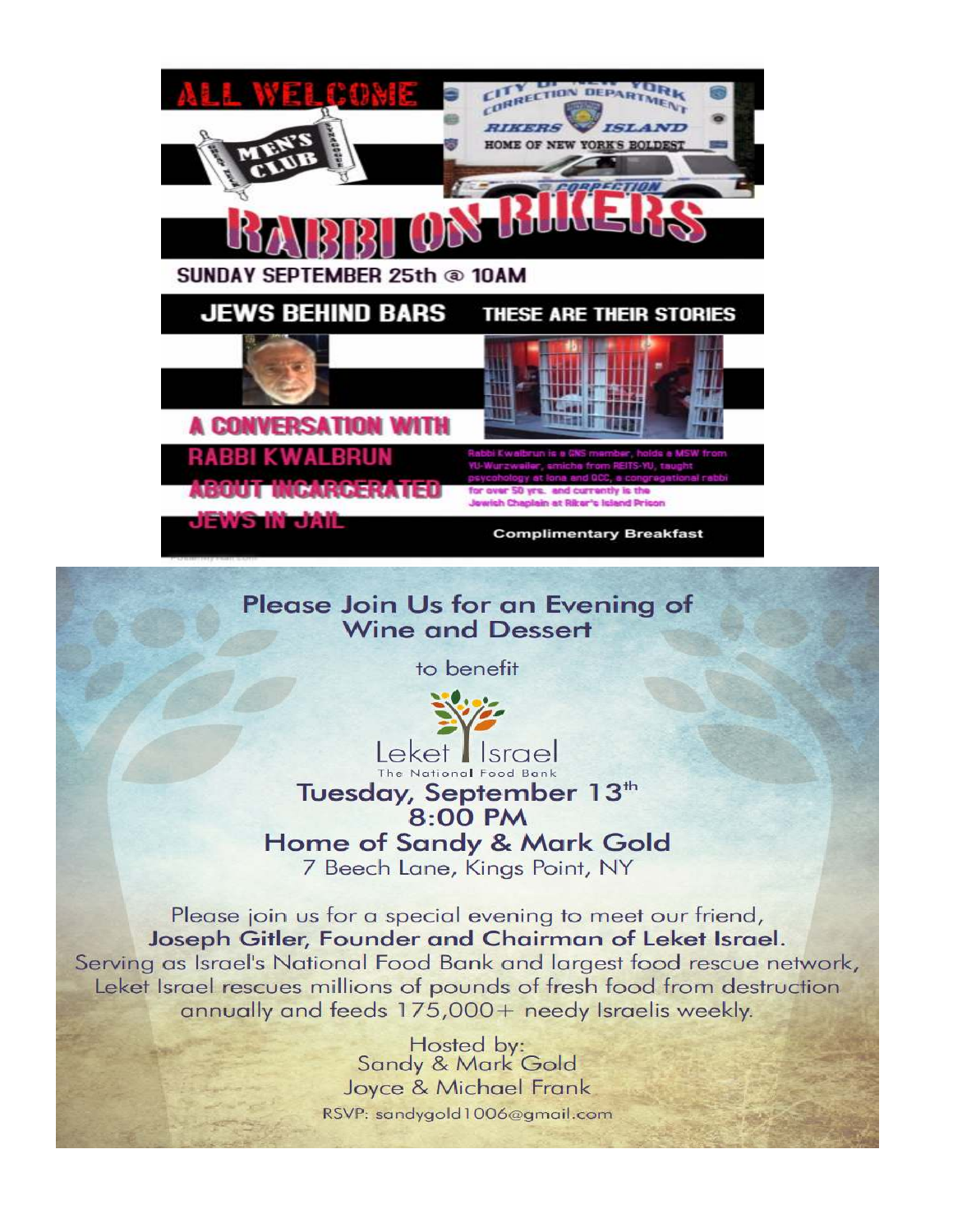

### Please Join Us for an Evening of **Wine and Dessert**

to benefit



Leket I Israel The National Food Bank Tuesday, September 13<sup>th</sup>

8:00 PM

**Home of Sandy & Mark Gold** 

7 Beech Lane, Kings Point, NY

Please join us for a special evening to meet our friend, Joseph Gitler, Founder and Chairman of Leket Israel. Serving as Israel's National Food Bank and largest food rescue network, Leket Israel rescues millions of pounds of fresh food from destruction annually and feeds 175,000+ needy Israelis weekly.

> Hosted by: Sandy & Mark Gold Joyce & Michael Frank RSVP: sandygold1006@gmail.com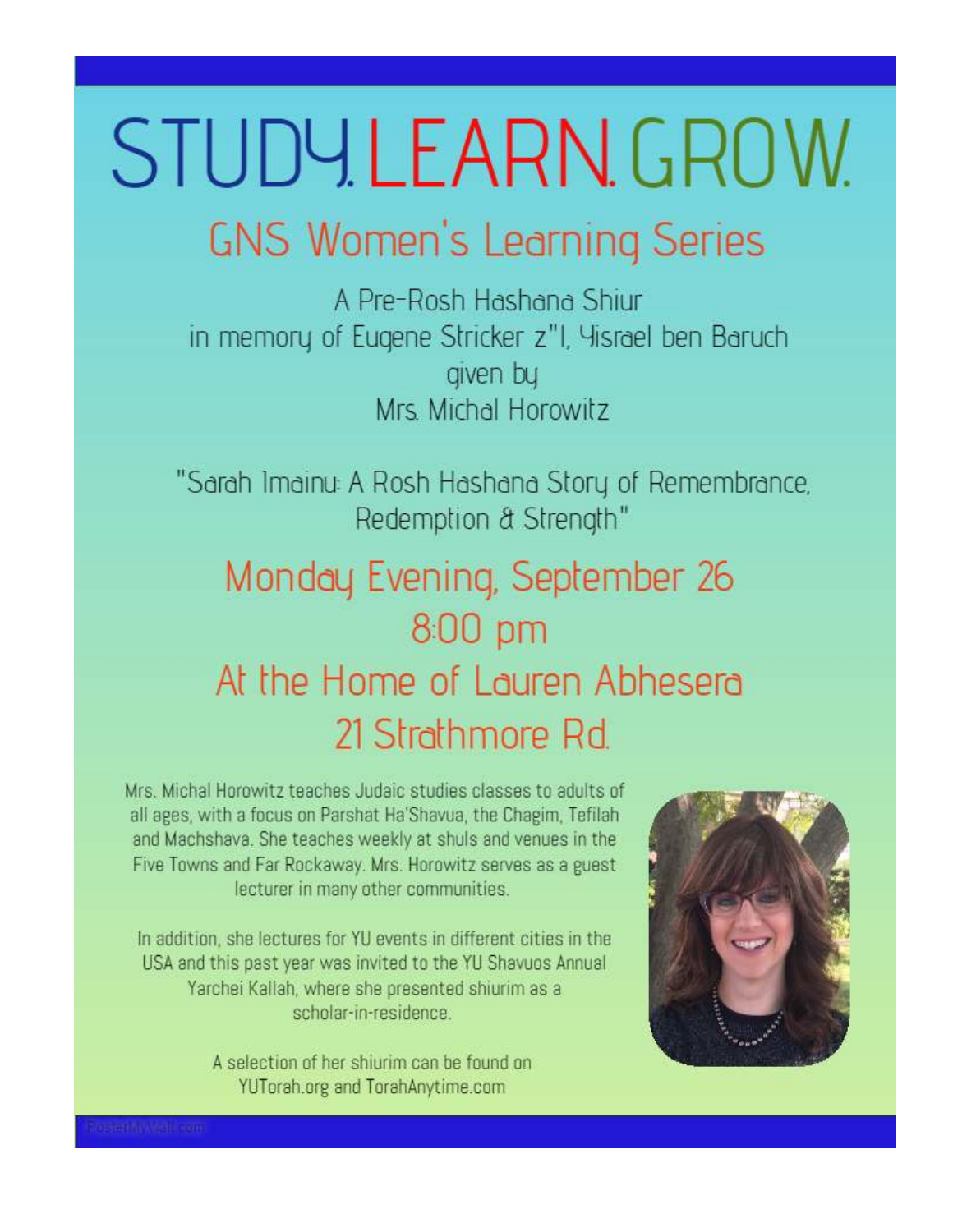# STUDYLEARN.GROW.

# **GNS Women's Learning Series**

A Pre-Rosh Hashana Shiur in memory of Eugene Stricker z"I, Yisrael ben Baruch given by Mrs. Michal Horowitz

"Sarah Imainu: A Rosh Hashana Story of Remembrance, Redemption & Strength"

## Monday Evening, September 26 800 pm At the Home of Lauren Abhesera 21 Strathmore Rd.

Mrs. Michal Horowitz teaches Judaic studies classes to adults of all ages, with a focus on Parshat Ha'Shavua, the Chagim, Tefilah and Machshava. She teaches weekly at shuls and venues in the Five Towns and Far Rockaway. Mrs. Horowitz serves as a guest lecturer in many other communities.

In addition, she lectures for YU events in different cities in the USA and this past year was invited to the YU Shavuos Annual Yarchei Kallah, where she presented shiurim as a scholar-in-residence

> A selection of her shiurim can be found on YUTorah.org and TorahAnytime.com